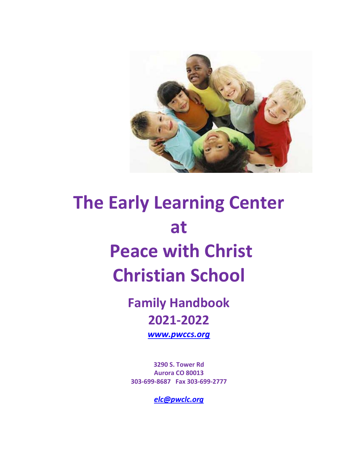

# **The Early Learning Center at Peace with Christ Christian School**

**Family Handbook 2021-2022**

*[www.pwccs.org](http://www.pwccs.org/)*

**3290 S. Tower Rd Aurora CO 80013 303-699-8687 Fax 303-699-2777**

*[elc@pwclc.org](mailto:elc@pwclc.org)*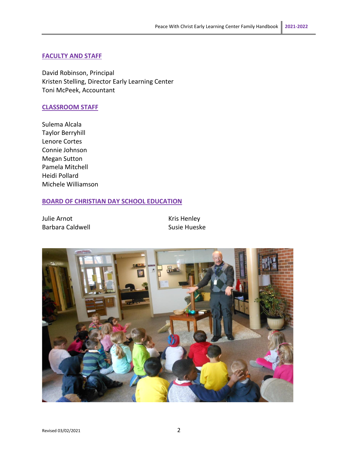#### **FACULTY AND STAFF**

David Robinson, Principal Kristen Stelling, Director Early Learning Center Toni McPeek, Accountant

#### **CLASSROOM STAFF**

Sulema Alcala Taylor Berryhill Lenore Cortes Connie Johnson Megan Sutton Pamela Mitchell Heidi Pollard Michele Williamson

#### **BOARD OF CHRISTIAN DAY SCHOOL EDUCATION**

Julie Arnot **Kris Henley** Barbara Caldwell **Susie Hueske** Susie Hueske

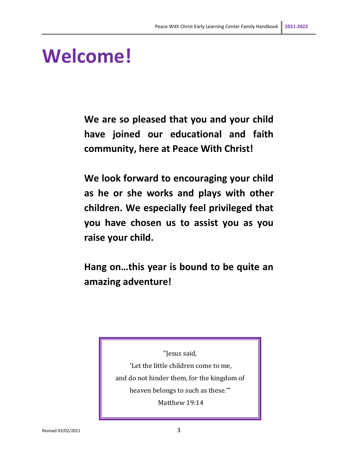# **Welcome!**

**We are so pleased that you and your child have joined our educational and faith community, here at Peace With Christ!**

**We look forward to encouraging your child as he or she works and plays with other children. We especially feel privileged that you have chosen us to assist you as you raise your child.**

**Hang on…this year is bound to be quite an amazing adventure!**

> "Jesus said, 'Let the little children come to me, and do not hinder them, for the kingdom of heaven belongs to such as these.'"

Matthew 19:14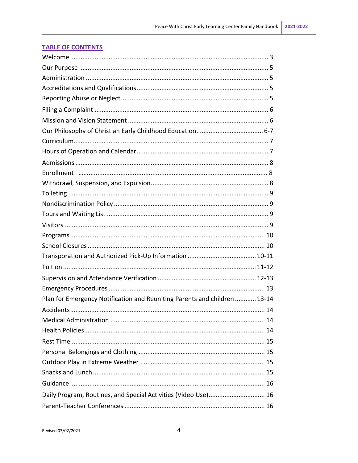| Plan for Emergency Notification and Reuniting Parents and children  13-14 |
|---------------------------------------------------------------------------|
|                                                                           |
|                                                                           |
|                                                                           |
|                                                                           |
|                                                                           |
|                                                                           |
|                                                                           |
|                                                                           |
| Daily Program, Routines, and Special Activities (Video Use) 16            |
|                                                                           |

# **TABLE OF CONTENTS**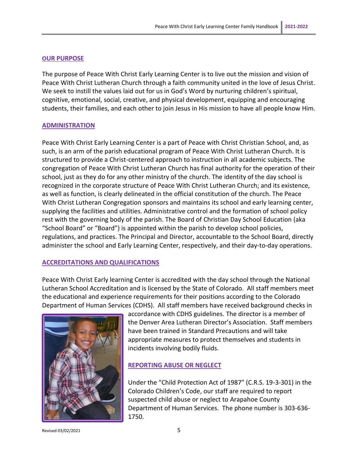#### **OUR PURPOSE**

The purpose of Peace With Christ Early Learning Center is to live out the mission and vision of Peace With Christ Lutheran Church through a faith community united in the love of Jesus Christ. We seek to instill the values laid out for us in God's Word by nurturing children's spiritual, cognitive, emotional, social, creative, and physical development, equipping and encouraging students, their families, and each other to join Jesus in His mission to have all people know Him.

#### **ADMINISTRATION**

Peace With Christ Early Learning Center is a part of Peace with Christ Christian School, and, as such, is an arm of the parish educational program of Peace With Christ Lutheran Church. It is structured to provide a Christ-centered approach to instruction in all academic subjects. The congregation of Peace With Christ Lutheran Church has final authority for the operation of their school, just as they do for any other ministry of the church. The identity of the day school is recognized in the corporate structure of Peace With Christ Lutheran Church; and its existence, as well as function, is clearly delineated in the official constitution of the church. The Peace With Christ Lutheran Congregation sponsors and maintains its school and early learning center, supplying the facilities and utilities. Administrative control and the formation of school policy rest with the governing body of the parish. The Board of Christian Day School Education (aka "School Board" or "Board") is appointed within the parish to develop school policies, regulations, and practices. The Principal and Director, accountable to the School Board, directly administer the school and Early Learning Center, respectively, and their day-to-day operations.

#### **ACCREDITATIONS AND QUALIFICATIONS**

Peace With Christ Early learning Center is accredited with the day school through the National Lutheran School Accreditation and is licensed by the State of Colorado. All staff members meet the educational and experience requirements for their positions according to the Colorado Department of Human Services (CDHS). All staff members have received background checks in



accordance with CDHS guidelines. The director is a member of the Denver Area Lutheran Director's Association. Staff members have been trained in Standard Precautions and will take appropriate measures to protect themselves and students in incidents involving bodily fluids.

#### **REPORTING ABUSE OR NEGLECT**

Under the "Child Protection Act of 1987" (C.R.S. 19-3-301) in the Colorado Children's Code, our staff are required to report suspected child abuse or neglect to Arapahoe County Department of Human Services. The phone number is 303-636- 1750.

Revised 03/02/2021 5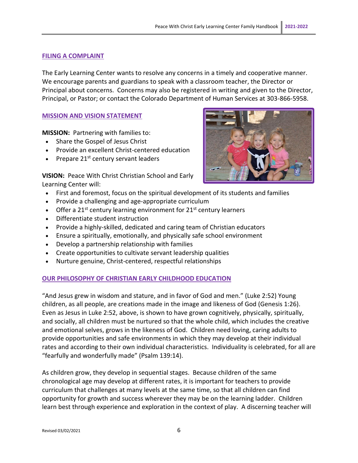#### **FILING A COMPLAINT**

The Early Learning Center wants to resolve any concerns in a timely and cooperative manner. We encourage parents and guardians to speak with a classroom teacher, the Director or Principal about concerns. Concerns may also be registered in writing and given to the Director, Principal, or Pastor; or contact the Colorado Department of Human Services at 303-866-5958.

#### **MISSION AND VISION STATEMENT**

**MISSION:** Partnering with families to:

- Share the Gospel of Jesus Christ
- Provide an excellent Christ-centered education
- Prepare 21<sup>st</sup> century servant leaders

**VISION:** Peace With Christ Christian School and Early Learning Center will:

- First and foremost, focus on the spiritual development of its students and families
- Provide a challenging and age-appropriate curriculum
- Offer a  $21^{st}$  century learning environment for  $21^{st}$  century learners
- Differentiate student instruction
- Provide a highly-skilled, dedicated and caring team of Christian educators
- Ensure a spiritually, emotionally, and physically safe school environment
- Develop a partnership relationship with families
- Create opportunities to cultivate servant leadership qualities
- Nurture genuine, Christ-centered, respectful relationships

#### **OUR PHILOSOPHY OF CHRISTIAN EARLY CHILDHOOD EDUCATION**

"And Jesus grew in wisdom and stature, and in favor of God and men." (Luke 2:52) Young children, as all people, are creations made in the image and likeness of God (Genesis 1:26). Even as Jesus in Luke 2:52, above, is shown to have grown cognitively, physically, spiritually, and socially, all children must be nurtured so that the whole child, which includes the creative and emotional selves, grows in the likeness of God. Children need loving, caring adults to provide opportunities and safe environments in which they may develop at their individual rates and according to their own individual characteristics. Individuality is celebrated, for all are "fearfully and wonderfully made" (Psalm 139:14).

As children grow, they develop in sequential stages. Because children of the same chronological age may develop at different rates, it is important for teachers to provide curriculum that challenges at many levels at the same time, so that all children can find opportunity for growth and success wherever they may be on the learning ladder. Children learn best through experience and exploration in the context of play. A discerning teacher will

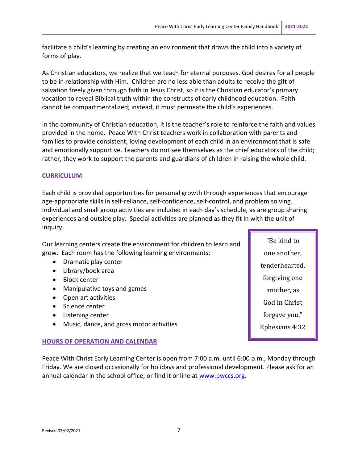facilitate a child's learning by creating an environment that draws the child into a variety of forms of play.

As Christian educators, we realize that we teach for eternal purposes. God desires for all people to be in relationship with Him. Children are no less able than adults to receive the gift of salvation freely given through faith in Jesus Christ, so it is the Christian educator's primary vocation to reveal Biblical truth within the constructs of early childhood education. Faith cannot be compartmentalized; instead, it must permeate the child's experiences.

In the community of Christian education, it is the teacher's role to reinforce the faith and values provided in the home. Peace With Christ teachers work in collaboration with parents and families to provide consistent, loving development of each child in an environment that is safe and emotionally supportive. Teachers do not see themselves as the chief educators of the child; rather, they work to support the parents and guardians of children in raising the whole child.

## **CURRICULUM**

Each child is provided opportunities for personal growth through experiences that encourage age-appropriate skills in self-reliance, self-confidence, self-control, and problem solving. Individual and small group activities are included in each day's schedule, as are group sharing experiences and outside play. Special activities are planned as they fit in with the unit of inquiry.

Our learning centers create the environment for children to learn and grow. Each room has the following learning environments:

- Dramatic play center
- Library/book area
- Block center
- Manipulative toys and games
- Open art activities
- Science center
- Listening center
- Music, dance, and gross motor activities

#### **HOURS OF OPERATION AND CALENDAR**

Peace With Christ Early Learning Center is open from 7:00 a.m. until 6:00 p.m., Monday through Friday. We are closed occasionally for holidays and professional development. Please ask for an annual calendar in the school office, or find it online at [www.pwccs.org.](http://www.pwccs.org/)

"Be kind to one another, tenderhearted, forgiving one another, as God in Christ forgave you." Ephesians 4:32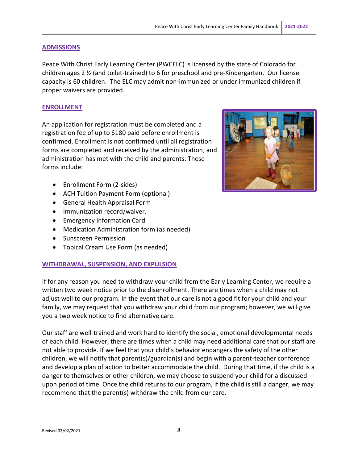#### **ADMISSIONS**

Peace With Christ Early Learning Center (PWCELC) is licensed by the state of Colorado for children ages 2 ½ (and toilet-trained) to 6 for preschool and pre-Kindergarten. Our license capacity is 60 children. The ELC may admit non-immunized or under immunized children if proper waivers are provided.

#### **ENROLLMENT**

An application for registration must be completed and a registration fee of up to \$180 paid before enrollment is confirmed. Enrollment is not confirmed until all registration forms are completed and received by the administration, and administration has met with the child and parents. These forms include:

- Enrollment Form (2-sides)
- ACH Tuition Payment Form (optional)
- General Health Appraisal Form
- Immunization record/waiver.
- Emergency Information Card
- Medication Administration form (as needed)
- Sunscreen Permission
- Topical Cream Use Form (as needed)

#### **WITHDRAWAL, SUSPENSION, AND EXPULSION**

If for any reason you need to withdraw your child from the Early Learning Center, we require a written two week notice prior to the disenrollment. There are times when a child may not adjust well to our program. In the event that our care is not a good fit for your child and your family, we may request that you withdraw your child from our program; however, we will give you a two week notice to find alternative care.

Our staff are well-trained and work hard to identify the social, emotional developmental needs of each child. However, there are times when a child may need additional care that our staff are not able to provide. If we feel that your child's behavior endangers the safety of the other children, we will notify that parent(s)/guardian(s) and begin with a parent-teacher conference and develop a plan of action to better accommodate the child. During that time, if the child is a danger to themselves or other children, we may choose to suspend your child for a discussed upon period of time. Once the child returns to our program, if the child is still a danger, we may recommend that the parent(s) withdraw the child from our care.

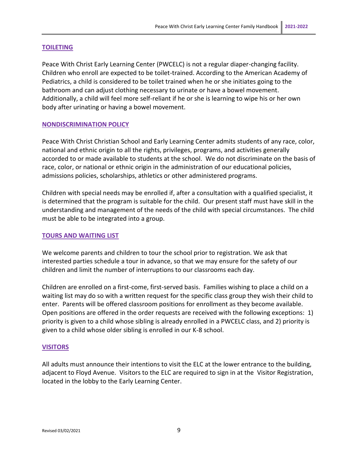#### **TOILETING**

Peace With Christ Early Learning Center (PWCELC) is not a regular diaper-changing facility. Children who enroll are expected to be toilet-trained. According to the American Academy of Pediatrics, a child is considered to be toilet trained when he or she initiates going to the bathroom and can adjust clothing necessary to urinate or have a bowel movement. Additionally, a child will feel more self-reliant if he or she is learning to wipe his or her own body after urinating or having a bowel movement.

#### **NONDISCRIMINATION POLICY**

Peace With Christ Christian School and Early Learning Center admits students of any race, color, national and ethnic origin to all the rights, privileges, programs, and activities generally accorded to or made available to students at the school. We do not discriminate on the basis of race, color, or national or ethnic origin in the administration of our educational policies, admissions policies, scholarships, athletics or other administered programs.

Children with special needs may be enrolled if, after a consultation with a qualified specialist, it is determined that the program is suitable for the child. Our present staff must have skill in the understanding and management of the needs of the child with special circumstances. The child must be able to be integrated into a group.

#### **TOURS AND WAITING LIST**

We welcome parents and children to tour the school prior to registration. We ask that interested parties schedule a tour in advance, so that we may ensure for the safety of our children and limit the number of interruptions to our classrooms each day.

Children are enrolled on a first-come, first-served basis. Families wishing to place a child on a waiting list may do so with a written request for the specific class group they wish their child to enter. Parents will be offered classroom positions for enrollment as they become available. Open positions are offered in the order requests are received with the following exceptions: 1) priority is given to a child whose sibling is already enrolled in a PWCELC class, and 2) priority is given to a child whose older sibling is enrolled in our K-8 school.

#### **VISITORS**

All adults must announce their intentions to visit the ELC at the lower entrance to the building, adjacent to Floyd Avenue. Visitors to the ELC are required to sign in at the Visitor Registration, located in the lobby to the Early Learning Center.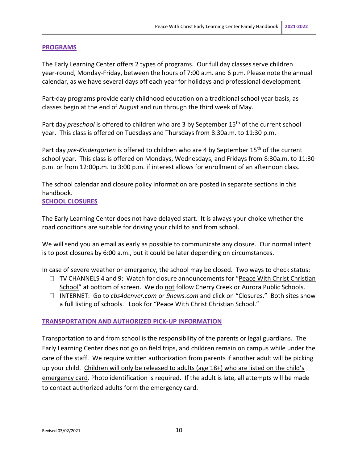#### **PROGRAMS**

The Early Learning Center offers 2 types of programs. Our full day classes serve children year-round, Monday-Friday, between the hours of 7:00 a.m. and 6 p.m. Please note the annual calendar, as we have several days off each year for holidays and professional development.

Part-day programs provide early childhood education on a traditional school year basis, as classes begin at the end of August and run through the third week of May.

Part day *preschool* is offered to children who are 3 by September 15<sup>th</sup> of the current school year. This class is offered on Tuesdays and Thursdays from 8:30a.m. to 11:30 p.m.

Part day *pre-Kindergarten* is offered to children who are 4 by September 15th of the current school year. This class is offered on Mondays, Wednesdays, and Fridays from 8:30a.m. to 11:30 p.m. or from 12:00p.m. to 3:00 p.m. if interest allows for enrollment of an afternoon class.

The school calendar and closure policy information are posted in separate sections in this handbook.

#### **SCHOOL CLOSURES**

The Early Learning Center does not have delayed start. It is always your choice whether the road conditions are suitable for driving your child to and from school.

We will send you an email as early as possible to communicate any closure. Our normal intent is to post closures by 6:00 a.m., but it could be later depending on circumstances.

In case of severe weather or emergency, the school may be closed. Two ways to check status:

- $\Box$  TV CHANNELS 4 and 9: Watch for closure announcements for "Peace With Christ Christian School" at bottom of screen. We do not follow Cherry Creek or Aurora Public Schools.
- INTERNET: Go to *cbs4denver.com* or *9news.com* and click on "Closures." Both sites show a full listing of schools. Look for "Peace With Christ Christian School."

#### **TRANSPORTATION AND AUTHORIZED PICK-UP INFORMATION**

Transportation to and from school is the responsibility of the parents or legal guardians. The Early Learning Center does not go on field trips, and children remain on campus while under the care of the staff. We require written authorization from parents if another adult will be picking up your child. Children will only be released to adults (age 18+) who are listed on the child's emergency card. Photo identification is required. If the adult is late, all attempts will be made to contact authorized adults form the emergency card.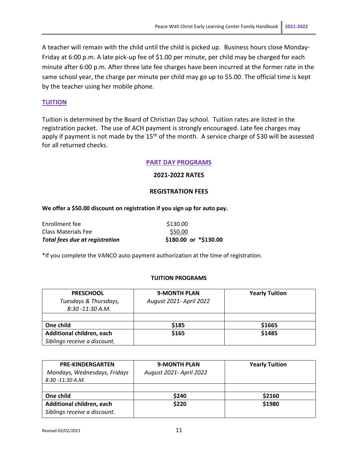A teacher will remain with the child until the child is picked up. Business hours close Monday-Friday at 6:00 p.m. A late pick-up fee of \$1.00 per minute, per child may be charged for each minute after 6:00 p.m. After three late fee charges have been incurred at the former rate in the same school year, the charge per minute per child may go up to \$5.00. The official time is kept by the teacher using her mobile phone.

#### **TUITION**

Tuition is determined by the Board of Christian Day school. Tuition rates are listed in the registration packet. The use of ACH payment is strongly encouraged. Late fee charges may apply if payment is not made by the 15<sup>th</sup> of the month. A service charge of \$30 will be assessed for all returned checks.

#### **PART DAY PROGRAMS**

#### **2021-2022 RATES**

#### **REGISTRATION FEES**

#### **We offer a \$50.00 discount on registration if you sign up for auto pay.**

| \$180.00 or *\$130.00 |
|-----------------------|
| \$50.00               |
| \$130.00              |
|                       |

\*If you complete the VANCO auto payment authorization at the time of registration.

#### **TUITION PROGRAMS**

| <b>PRESCHOOL</b>             | <b>9-MONTH PLAN</b>     | <b>Yearly Tuition</b> |
|------------------------------|-------------------------|-----------------------|
| Tuesdays & Thursdays,        | August 2021- April 2022 |                       |
| 8:30 -11:30 A.M.             |                         |                       |
|                              |                         |                       |
| One child                    | \$185                   | \$1665                |
| Additional children, each    | \$165                   | \$1485                |
| Siblings receive a discount. |                         |                       |

| <b>PRE-KINDERGARTEN</b><br>Mondays, Wednesdays, Fridays<br>$8:30 - 11:30 A.M.$ | <b>9-MONTH PLAN</b><br>August 2021- April 2022 | <b>Yearly Tuition</b> |
|--------------------------------------------------------------------------------|------------------------------------------------|-----------------------|
| One child                                                                      | \$240                                          | \$2160                |
| Additional children, each<br>Siblings receive a discount.                      | \$220                                          | \$1980                |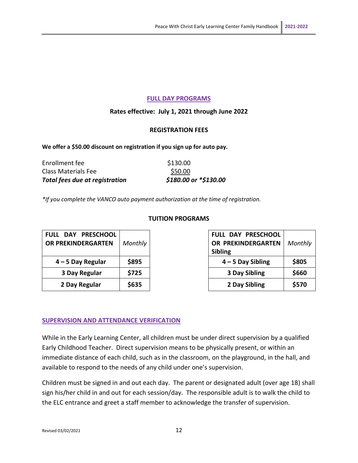#### **FULL DAY PROGRAMS**

#### **Rates effective: July 1, 2021 through June 2022**

#### **REGISTRATION FEES**

**We offer a \$50.00 discount on registration if you sign up for auto pay.**

| Total fees due at registration | \$180.00 or *\$130.00 |
|--------------------------------|-----------------------|
| Class Materials Fee            | \$50.00               |
| Enrollment fee                 | \$130.00              |

*\*If you complete the VANCO auto payment authorization at the time of registration.*

| FULL DAY PRESCHOOL<br><b>OR PREKINDERGARTEN</b> | Monthly |
|-------------------------------------------------|---------|
| 4 - 5 Day Regular                               | \$895   |
| 3 Day Regular                                   | \$725   |
| 2 Day Regular                                   | \$635   |

#### **TUITION PROGRAMS**

| <b>L DAY PRESCHOOL</b><br><b>PREKINDERGARTEN</b> | Monthly | <b>FULL DAY PRESCHOOL</b><br>OR PREKINDERGARTEN | Monthly |
|--------------------------------------------------|---------|-------------------------------------------------|---------|
|                                                  |         | <b>Sibling</b>                                  |         |
| 4 – 5 Day Regular                                | \$895   | $4 - 5$ Day Sibling                             | \$805   |
| 3 Day Regular                                    | \$725   | 3 Day Sibling                                   | \$660   |
| 2 Day Regular                                    | \$635   | 2 Day Sibling                                   | \$570   |

#### **SUPERVISION AND ATTENDANCE VERIFICATION**

While in the Early Learning Center, all children must be under direct supervision by a qualified Early Childhood Teacher. Direct supervision means to be physically present, or within an immediate distance of each child, such as in the classroom, on the playground, in the hall, and available to respond to the needs of any child under one's supervision.

Children must be signed in and out each day. The parent or designated adult (over age 18) shall sign his/her child in and out for each session/day. The responsible adult is to walk the child to the ELC entrance and greet a staff member to acknowledge the transfer of supervision.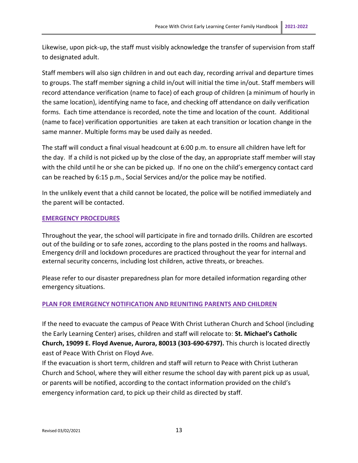Likewise, upon pick-up, the staff must visibly acknowledge the transfer of supervision from staff to designated adult.

Staff members will also sign children in and out each day, recording arrival and departure times to groups. The staff member signing a child in/out will initial the time in/out. Staff members will record attendance verification (name to face) of each group of children (a minimum of hourly in the same location), identifying name to face, and checking off attendance on daily verification forms. Each time attendance is recorded, note the time and location of the count. Additional (name to face) verification opportunities are taken at each transition or location change in the same manner. Multiple forms may be used daily as needed.

The staff will conduct a final visual headcount at 6:00 p.m. to ensure all children have left for the day. If a child is not picked up by the close of the day, an appropriate staff member will stay with the child until he or she can be picked up. If no one on the child's emergency contact card can be reached by 6:15 p.m., Social Services and/or the police may be notified.

In the unlikely event that a child cannot be located, the police will be notified immediately and the parent will be contacted.

## **EMERGENCY PROCEDURES**

Throughout the year, the school will participate in fire and tornado drills. Children are escorted out of the building or to safe zones, according to the plans posted in the rooms and hallways. Emergency drill and lockdown procedures are practiced throughout the year for internal and external security concerns, including lost children, active threats, or breaches.

Please refer to our disaster preparedness plan for more detailed information regarding other emergency situations.

# **PLAN FOR EMERGENCY NOTIFICATION AND REUNITING PARENTS AND CHILDREN**

If the need to evacuate the campus of Peace With Christ Lutheran Church and School (including the Early Learning Center) arises, children and staff will relocate to: **St. Michael's Catholic Church, 19099 E. Floyd Avenue, Aurora, 80013 (303-690-6797).** This church is located directly east of Peace With Christ on Floyd Ave.

If the evacuation is short term, children and staff will return to Peace with Christ Lutheran Church and School, where they will either resume the school day with parent pick up as usual, or parents will be notified, according to the contact information provided on the child's emergency information card, to pick up their child as directed by staff.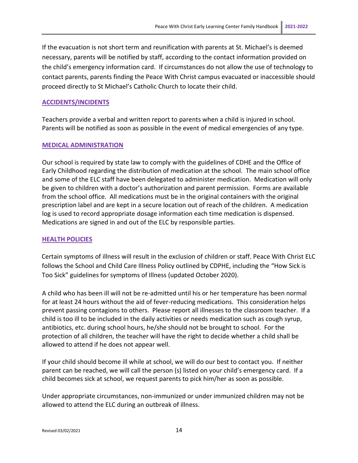If the evacuation is not short term and reunification with parents at St. Michael's is deemed necessary, parents will be notified by staff, according to the contact information provided on the child's emergency information card. If circumstances do not allow the use of technology to contact parents, parents finding the Peace With Christ campus evacuated or inaccessible should proceed directly to St Michael's Catholic Church to locate their child.

#### **ACCIDENTS/INCIDENTS**

Teachers provide a verbal and written report to parents when a child is injured in school. Parents will be notified as soon as possible in the event of medical emergencies of any type.

#### **MEDICAL ADMINISTRATION**

Our school is required by state law to comply with the guidelines of CDHE and the Office of Early Childhood regarding the distribution of medication at the school. The main school office and some of the ELC staff have been delegated to administer medication. Medication will only be given to children with a doctor's authorization and parent permission. Forms are available from the school office. All medications must be in the original containers with the original prescription label and are kept in a secure location out of reach of the children. A medication log is used to record appropriate dosage information each time medication is dispensed. Medications are signed in and out of the ELC by responsible parties.

#### **HEALTH POLICIES**

Certain symptoms of illness will result in the exclusion of children or staff. Peace With Christ ELC follows the School and Child Care Illness Policy outlined by CDPHE, including the "How Sick is Too Sick" guidelines for symptoms of Illness (updated October 2020).

A child who has been ill will not be re-admitted until his or her temperature has been normal for at least 24 hours without the aid of fever-reducing medications. This consideration helps prevent passing contagions to others. Please report all illnesses to the classroom teacher. If a child is too ill to be included in the daily activities or needs medication such as cough syrup, antibiotics, etc. during school hours, he/she should not be brought to school. For the protection of all children, the teacher will have the right to decide whether a child shall be allowed to attend if he does not appear well.

If your child should become ill while at school, we will do our best to contact you. If neither parent can be reached, we will call the person (s) listed on your child's emergency card. If a child becomes sick at school, we request parents to pick him/her as soon as possible.

Under appropriate circumstances, non-immunized or under immunized children may not be allowed to attend the ELC during an outbreak of illness.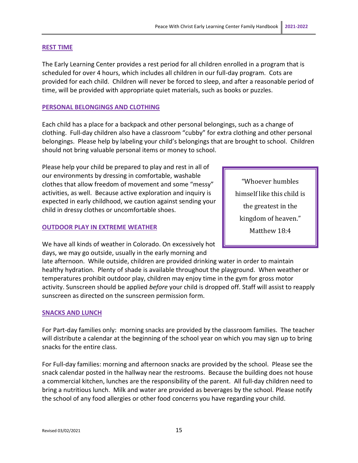#### **REST TIME**

The Early Learning Center provides a rest period for all children enrolled in a program that is scheduled for over 4 hours, which includes all children in our full-day program. Cots are provided for each child. Children will never be forced to sleep, and after a reasonable period of time, will be provided with appropriate quiet materials, such as books or puzzles.

#### **PERSONAL BELONGINGS AND CLOTHING**

Each child has a place for a backpack and other personal belongings, such as a change of clothing. Full-day children also have a classroom "cubby" for extra clothing and other personal belongings. Please help by labeling your child's belongings that are brought to school. Children should not bring valuable personal items or money to school.

Please help your child be prepared to play and rest in all of our environments by dressing in comfortable, washable clothes that allow freedom of movement and some "messy" activities, as well. Because active exploration and inquiry is expected in early childhood, we caution against sending your child in dressy clothes or uncomfortable shoes.

#### **OUTDOOR PLAY IN EXTREME WEATHER**

We have all kinds of weather in Colorado. On excessively hot days, we may go outside, usually in the early morning and

late afternoon. While outside, children are provided drinking water in order to maintain healthy hydration. Plenty of shade is available throughout the playground. When weather or temperatures prohibit outdoor play, children may enjoy time in the gym for gross motor activity. Sunscreen should be applied *before* your child is dropped off. Staff will assist to reapply sunscreen as directed on the sunscreen permission form.

#### **SNACKS AND LUNCH**

For Part-day families only: morning snacks are provided by the classroom families. The teacher will distribute a calendar at the beginning of the school year on which you may sign up to bring snacks for the entire class.

For Full-day families: morning and afternoon snacks are provided by the school. Please see the snack calendar posted in the hallway near the restrooms. Because the building does not house a commercial kitchen, lunches are the responsibility of the parent. All full-day children need to bring a nutritious lunch. Milk and water are provided as beverages by the school. Please notify the school of any food allergies or other food concerns you have regarding your child.

"Whoever humbles himself like this child is the greatest in the kingdom of heaven." Matthew 18:4